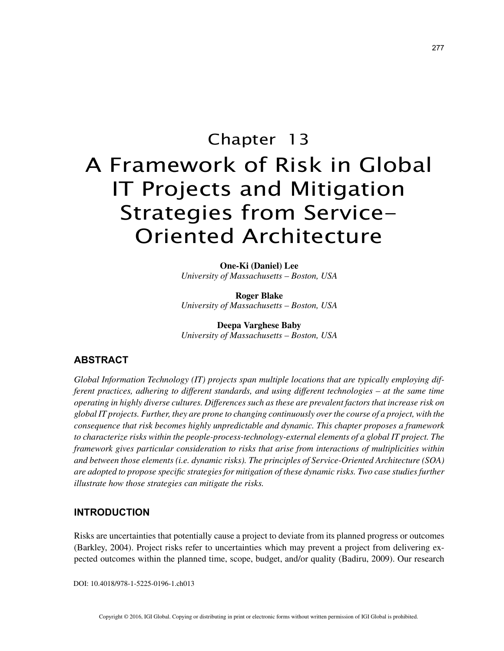# Chapter 13 A Framework of Risk in Global IT Projects and Mitigation Strategies from Service-Oriented Architecture

**One-Ki (Daniel) Lee** *University of Massachusetts – Boston, USA*

**Roger Blake** *University of Massachusetts – Boston, USA*

**Deepa Varghese Baby** *University of Massachusetts – Boston, USA*

## **ABSTRACT**

*Global Information Technology (IT) projects span multiple locations that are typically employing different practices, adhering to different standards, and using different technologies – at the same time operating in highly diverse cultures. Differences such as these are prevalent factors that increase risk on global IT projects. Further, they are prone to changing continuously over the course of a project, with the consequence that risk becomes highly unpredictable and dynamic. This chapter proposes a framework to characterize risks within the people-process-technology-external elements of a global IT project. The framework gives particular consideration to risks that arise from interactions of multiplicities within and between those elements (i.e. dynamic risks). The principles of Service-Oriented Architecture (SOA) are adopted to propose specific strategies for mitigation of these dynamic risks. Two case studies further illustrate how those strategies can mitigate the risks.*

## **INTRODUCTION**

Risks are uncertainties that potentially cause a project to deviate from its planned progress or outcomes (Barkley, 2004). Project risks refer to uncertainties which may prevent a project from delivering expected outcomes within the planned time, scope, budget, and/or quality (Badiru, 2009). Our research

DOI: 10.4018/978-1-5225-0196-1.ch013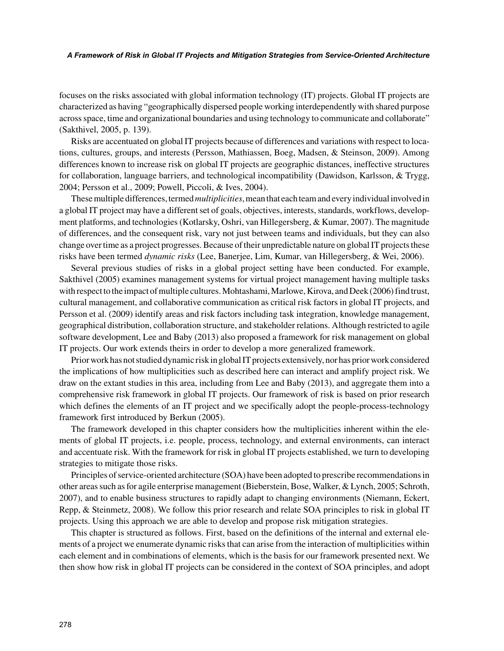#### *A Framework of Risk in Global IT Projects and Mitigation Strategies from Service-Oriented Architecture*

focuses on the risks associated with global information technology (IT) projects. Global IT projects are characterized as having "geographically dispersed people working interdependently with shared purpose across space, time and organizational boundaries and using technology to communicate and collaborate" (Sakthivel, 2005, p. 139).

Risks are accentuated on global IT projects because of differences and variations with respect to locations, cultures, groups, and interests (Persson, Mathiassen, Boeg, Madsen, & Steinson, 2009). Among differences known to increase risk on global IT projects are geographic distances, ineffective structures for collaboration, language barriers, and technological incompatibility (Dawidson, Karlsson, & Trygg, 2004; Persson et al., 2009; Powell, Piccoli, & Ives, 2004).

These multiple differences, termed *multiplicities*, mean that each team and every individual involved in a global IT project may have a different set of goals, objectives, interests, standards, workflows, development platforms, and technologies (Kotlarsky, Oshri, van Hillegersberg, & Kumar, 2007). The magnitude of differences, and the consequent risk, vary not just between teams and individuals, but they can also change over time as a project progresses. Because of their unpredictable nature on global IT projects these risks have been termed *dynamic risks* (Lee, Banerjee, Lim, Kumar, van Hillegersberg, & Wei, 2006).

Several previous studies of risks in a global project setting have been conducted. For example, Sakthivel (2005) examines management systems for virtual project management having multiple tasks with respect to the impact of multiple cultures. Mohtashami, Marlowe, Kirova, and Deek (2006) find trust, cultural management, and collaborative communication as critical risk factors in global IT projects, and Persson et al. (2009) identify areas and risk factors including task integration, knowledge management, geographical distribution, collaboration structure, and stakeholder relations. Although restricted to agile software development, Lee and Baby (2013) also proposed a framework for risk management on global IT projects. Our work extends theirs in order to develop a more generalized framework.

Prior work has not studied dynamic risk in global IT projects extensively, nor has prior work considered the implications of how multiplicities such as described here can interact and amplify project risk. We draw on the extant studies in this area, including from Lee and Baby (2013), and aggregate them into a comprehensive risk framework in global IT projects. Our framework of risk is based on prior research which defines the elements of an IT project and we specifically adopt the people-process-technology framework first introduced by Berkun (2005).

The framework developed in this chapter considers how the multiplicities inherent within the elements of global IT projects, i.e. people, process, technology, and external environments, can interact and accentuate risk. With the framework for risk in global IT projects established, we turn to developing strategies to mitigate those risks.

Principles of service-oriented architecture (SOA) have been adopted to prescribe recommendations in other areas such as for agile enterprise management (Bieberstein, Bose, Walker, & Lynch, 2005; Schroth, 2007), and to enable business structures to rapidly adapt to changing environments (Niemann, Eckert, Repp, & Steinmetz, 2008). We follow this prior research and relate SOA principles to risk in global IT projects. Using this approach we are able to develop and propose risk mitigation strategies.

This chapter is structured as follows. First, based on the definitions of the internal and external elements of a project we enumerate dynamic risks that can arise from the interaction of multiplicities within each element and in combinations of elements, which is the basis for our framework presented next. We then show how risk in global IT projects can be considered in the context of SOA principles, and adopt